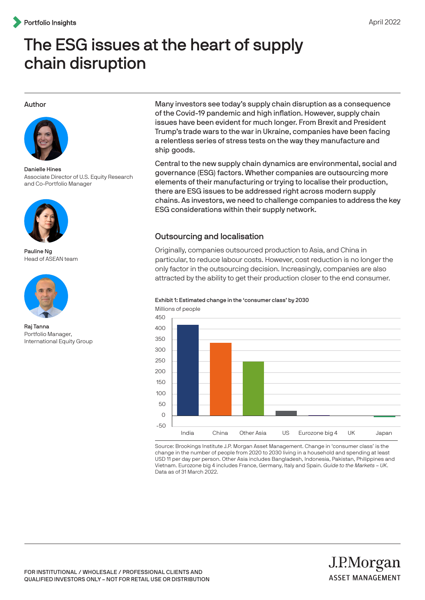# The ESG issues at the heart of supply chain disruption

#### Author



Danielle Hines Associate Director of U.S. Equity Research and Co-Portfolio Manager



Pauline Ng Head of ASEAN team



Raj Tanna Portfolio Manager, International Equity Group

Many investors see today's supply chain disruption as a consequence of the Covid-19 pandemic and high inflation. However, supply chain issues have been evident for much longer. From Brexit and President Trump's trade wars to the war in Ukraine, companies have been facing a relentless series of stress tests on the way they manufacture and ship goods.

Central to the new supply chain dynamics are environmental, social and governance (ESG) factors. Whether companies are outsourcing more elements of their manufacturing or trying to localise their production, there are ESG issues to be addressed right across modern supply chains. As investors, we need to challenge companies to address the key ESG considerations within their supply network.

## Outsourcing and localisation

Originally, companies outsourced production to Asia, and China in particular, to reduce labour costs. However, cost reduction is no longer the only factor in the outsourcing decision. Increasingly, companies are also attracted by the ability to get their production closer to the end consumer.

# Exhibit 1: Estimated change in the 'consumer class' by 2030



Source: Brookings Institute J.P. Morgan Asset Management. Change in 'consumer class' is the change in the number of people from 2020 to 2030 living in a household and spending at least USD 11 per day per person. Other Asia includes Bangladesh, Indonesia, Pakistan, Philippines and Vietnam. Eurozone big 4 includes France, Germany, Italy and Spain. Guide to the Markets – UK. Data as of 31 March 2022.

J.P.Morgan

**ASSET MANAGEMENT**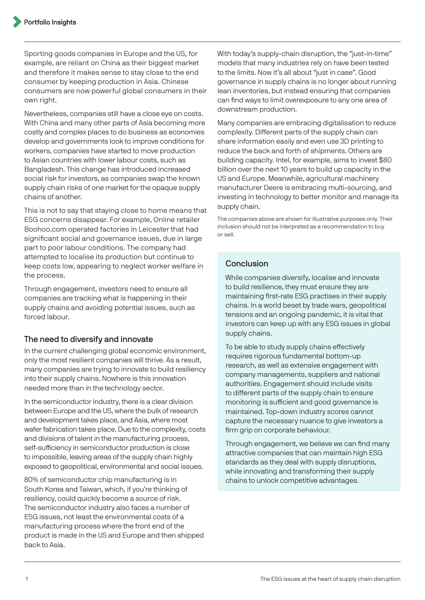Sporting goods companies in Europe and the US, for example, are reliant on China as their biggest market and therefore it makes sense to stay close to the end consumer by keeping production in Asia. Chinese consumers are now powerful global consumers in their own right.

Nevertheless, companies still have a close eye on costs. With China and many other parts of Asia becoming more costly and complex places to do business as economies develop and governments look to improve conditions for workers, companies have started to move production to Asian countries with lower labour costs, such as Bangladesh. This change has introduced increased social risk for investors, as companies swap the known supply chain risks of one market for the opaque supply chains of another.

This is not to say that staying close to home means that ESG concerns disappear. For example, Online retailer Boohoo.com operated factories in Leicester that had significant social and governance issues, due in large part to poor labour conditions. The company had attempted to localise its production but continue to keep costs low, appearing to neglect worker welfare in the process.

Through engagement, investors need to ensure all companies are tracking what is happening in their supply chains and avoiding potential issues, such as forced labour.

# The need to diversify and innovate

In the current challenging global economic environment, only the most resilient companies will thrive. As a result, many companies are trying to innovate to build resiliency into their supply chains. Nowhere is this innovation needed more than in the technology sector.

In the semiconductor industry, there is a clear division between Europe and the US, where the bulk of research and development takes place, and Asia, where most wafer fabrication takes place. Due to the complexity, costs and divisions of talent in the manufacturing process, self-sufficiency in semiconductor production is close to impossible, leaving areas of the supply chain highly exposed to geopolitical, environmental and social issues.

80% of semiconductor chip manufacturing is in South Korea and Taiwan, which, if you're thinking of resiliency, could quickly become a source of risk. The semiconductor industry also faces a number of ESG issues, not least the environmental costs of a manufacturing process where the front end of the product is made in the US and Europe and then shipped back to Asia.

With today's supply-chain disruption, the "just-in-time" models that many industries rely on have been tested to the limits. Now it's all about "just in case". Good governance in supply chains is no longer about running lean inventories, but instead ensuring that companies can find ways to limit overexposure to any one area of downstream production.

Many companies are embracing digitalisation to reduce complexity. Different parts of the supply chain can share information easily and even use 3D printing to reduce the back and forth of shipments. Others are building capacity. Intel, for example, aims to invest \$80 billion over the next 10 years to build up capacity in the US and Europe. Meanwhile, agricultural machinery manufacturer Deere is embracing multi-sourcing, and investing in technology to better monitor and manage its supply chain.

The companies above are shown for illustrative purposes only. Their inclusion should not be interpreted as a recommendation to buy or sell.

## Conclusion

While companies diversify, localise and innovate to build resilience, they must ensure they are maintaining first-rate ESG practises in their supply chains. In a world beset by trade wars, geopolitical tensions and an ongoing pandemic, it is vital that investors can keep up with any ESG issues in global supply chains.

To be able to study supply chains effectively requires rigorous fundamental bottom-up research, as well as extensive engagement with company managements, suppliers and national authorities. Engagement should include visits to different parts of the supply chain to ensure monitoring is sufficient and good governance is maintained. Top-down industry scores cannot capture the necessary nuance to give investors a firm grip on corporate behaviour.

Through engagement, we believe we can find many attractive companies that can maintain high ESG standards as they deal with supply disruptions, while innovating and transforming their supply chains to unlock competitive advantages.